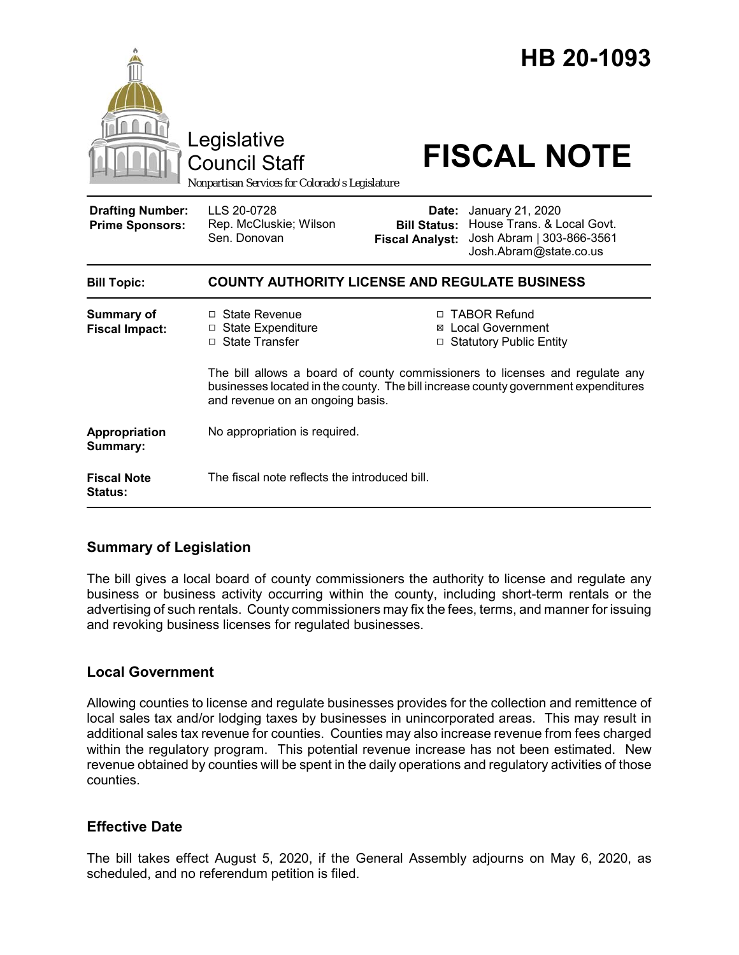

## **Summary of Legislation**

The bill gives a local board of county commissioners the authority to license and regulate any business or business activity occurring within the county, including short-term rentals or the advertising of such rentals. County commissioners may fix the fees, terms, and manner for issuing and revoking business licenses for regulated businesses.

## **Local Government**

Allowing counties to license and regulate businesses provides for the collection and remittence of local sales tax and/or lodging taxes by businesses in unincorporated areas. This may result in additional sales tax revenue for counties. Counties may also increase revenue from fees charged within the regulatory program. This potential revenue increase has not been estimated. New revenue obtained by counties will be spent in the daily operations and regulatory activities of those counties.

## **Effective Date**

The bill takes effect August 5, 2020, if the General Assembly adjourns on May 6, 2020, as scheduled, and no referendum petition is filed.